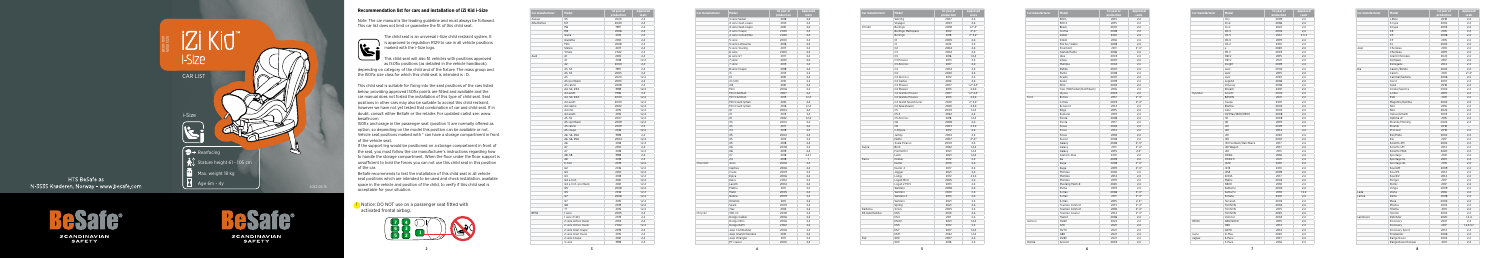5

## **Recommendation list for cars and installation of iZi Kid i-Size**

The child seat is an universal i-Size child restraint system. It s approved to regulation R129 to use in all vehicle positions marked with the i-Size logo.

 Note: The car manual is the leading guideline and must always be followed. This car list does not limit or guarantee the fit of this child seat.

**This child seat will also fit vehicles with positions approved** as ISOfix positions (as detailed in the vehicle handbook), depending on category of the child and of the fixture. The mass group and the ISOfix size class for which this child seat is intended is : D.

This child seat is suitable for fixing into the seat positions of the cars listed below, providing approved ISOfix points are fitted and available and the car manual does not forbid the installation of this type of child seat. Seat positions in other cars may also be suitable to accept this child restraint, however we have not yet tested that combination of car and child seat. If in doubt, consult either BeSafe or the retailer. For updated carlist see: www. besafe.com

ISOfix anchorage in the passenger seat (position 1) are normally offered as option, so depending on the model this position can be available or not. Vehicle seat positions marked with \* can have a storage compartment in front of the vehicle seat.

If the support leg would be positioned on a storage compartment in front of the seat, you must follow the car manufacturer's instructions regarding how to handle the storage compartment. When the floor under the floor support is unsufficient to hold the forces you can not use this child seat in this position of the car.

BeSafe recommends to test the installation of this child seat in all vehicle seat positions which are intended to be used and check installation, available space in the vehicle and position of the child, to verify if this child seat is acceptable for your situation.

| Car manufacturer | Model               | 1st year of<br>production | Approved<br>seats |
|------------------|---------------------|---------------------------|-------------------|
|                  | 3 serie Sedan       | 2018                      | 2,4               |
|                  | 4 serie Gran coupe  | 2014                      | 2,4               |
|                  | 4 serie Gran coupe  | 2021                      | 2,4               |
|                  | 4 serie Coupe       | 2020                      | 2,4               |
|                  | 4 serie Convertible | 2020                      | 2.4               |
|                  | 5 serie             | 2000                      | 2,4               |
|                  | 5 serie Limousine   | 2016                      | 2,4               |
|                  | 5 serie Touring     | 2017                      | 2,4               |
|                  | 6 serie             | 2003                      | 2,4               |
|                  | 6 serie GT          | 2017                      | 2,4               |
|                  | 7 serie             | 2001                      | 2,4               |
|                  | 7 serie             | 2015                      |                   |
|                  |                     |                           | 2,4               |
|                  | 8 serie Coupe       | 2018                      | 2,4               |
|                  | i3                  | 2013                      | 2,4               |
|                  | 4                   | 2021                      | 2,4               |
|                  | iX (i20)            | 2021                      | 2,4               |
|                  | iX3                 | 2021                      | 2,4               |
|                  | Mini                | 2006                      | 2,4               |
|                  | Mini Clubman        | 2007                      | 2,4               |
|                  | Mini Clubman        | 2015                      | 1, 2, 4           |
|                  | Mini Countryman     | 2010                      | 2,4               |
|                  | Mini Countryman     | 2016                      | 1,2,4             |
|                  | X1                  | 2004                      | 2.4               |
|                  | X1                  | 2015                      | 2,4               |
|                  | X1                  | 2022                      | 1,2,4             |
|                  | X3                  | 2004                      | 2,4               |
|                  | X3                  | 2017                      | 2,4               |
|                  | X4                  | 2018                      | 2.4               |
|                  | X5                  | 2004                      | 2,4               |
|                  | X <sub>5</sub>      | 2013                      | 2,4               |
|                  | X5                  | 2018                      | 2,4               |
|                  | X6                  | 2008                      | 2,4               |
|                  | X <sub>6</sub>      | 2019                      | 2.4               |
|                  | X7                  | 2018                      | 2,4,7             |
|                  | Z <sub>4</sub>      | 2018                      | 1                 |
| Chevrolet        | Aveo                | 2006                      | 2,4               |
|                  | Captiva             | 2006                      | 2,4               |
|                  | Cruze               | 2009                      | 2,4               |
|                  | Epica               | 2006                      | 2,4               |
|                  | Kalos               | 2002                      | 2,4               |
|                  | Lacetti             | 2004                      | 2,4               |
|                  | Malibu              | 2011                      |                   |
|                  |                     |                           | 2,4               |
|                  | Matiz               | 2005                      | 2,4               |
|                  | Nubira              | 2009                      | 2,4               |
|                  | Orlando             | 2011                      | 2,4               |
|                  | Spark               | 2009                      | 2,4               |
|                  | Trax                | 2013                      | 2,4               |
| Chrysler         | 300 CC              | 2008                      | 2,4               |
|                  | Dodge Caliber       | 2006                      | 2,4               |
|                  | Dodge Nitro         | 2006                      | 2,4               |
|                  | Dodge RAM           | 2002                      | 2,4               |
|                  | Jeep Commander      | 2006                      | 2,4               |
|                  | Jeep Grand Cherokee | 2010                      | 2,4               |
|                  | Jeep Wrangler       | 2011                      | 2,4               |
|                  | PT cruiser          | 2000                      | 2,4               |

**!** Notice: DO NOT use on a passenger seat fitted with activated frontal airbag.

| Car manufacturer | Model                | 1st year of<br>production | <b>Approved</b><br>seats |
|------------------|----------------------|---------------------------|--------------------------|
|                  | Sebring              | 2007                      | 2.4                      |
|                  | Voyager              | 2001                      | 2.4                      |
| Citroën          | Berlingo             | 2008                      | $1,2^*,4^*$              |
|                  | Berlingo Multispace  | 2012                      | $2^*$ , 4*               |
|                  | Berlingo             | 2018                      | $2^*$ , 3, 4 $*$         |
|                  | C1                   | 2005                      | 2.4                      |
|                  | C1                   | 2014                      | 2,4                      |
|                  | C <sub>2</sub>       | 2004                      | 2,4                      |
|                  | C3                   | 2004                      | 2,4                      |
|                  | C <sub>3</sub>       | 2016                      | 1, 2, 4                  |
|                  | C3 Picasso           | 2013                      | 2,4                      |
|                  | C3 Aircross          | 2017                      | 2.4                      |
|                  | C <sub>4</sub>       | 2004                      | 2,4                      |
|                  | C <sub>4</sub>       | 2020                      | 2,4                      |
|                  | C4 Aircross          | 2012                      | 2,4                      |
|                  | C4 Cactus            | 2014                      | 2,4                      |
|                  | C4 Picasso           | 2007                      | $1, 2^*, 3, 4^*$         |
|                  | C4 Picasso           | 2013                      | 2,3,4                    |
|                  | C4 Grande Picasso    | 2007                      | $1,2^*,3,4^*$            |
|                  | C4 Grande Picasso    | 2013                      | 2,3,4                    |
|                  | C4 Grand Spacetourer | 2020                      | $2^*$ , 3, 4 $*$         |
|                  | C4 Spacetourer       | 2020                      | 2,3,4                    |
|                  | C5                   | 2000                      | 1,2,4                    |
|                  | C5X                  | 2022                      | 2,4                      |
|                  | C5 Aircross          | 2018                      | 1, 2, 4                  |
|                  | C6                   | 2008                      | 2,4                      |
|                  | C <sub>8</sub>       | 2003                      | 2,3,4                    |
|                  | C-Elysée             | 2012                      | 2,4                      |
|                  | Jumpy                | 2004                      | 2,4                      |
|                  | Nemo                 | 2007                      | $2^*$ , 4 <sup>*</sup>   |
|                  | Xsara Picasso        | 2000                      | 2,4                      |
| Cupra            | Born                 | 2022                      | 1,2,4                    |
|                  | Formentor            | 2021                      | 1,2,4                    |
|                  | Leon                 | 2021                      | 1,2,4                    |
| Dacia            | Dokker               | 2012                      | 2.4                      |
|                  | Duster               | 2010                      | 2,4                      |
|                  | Duster 2             | 2017                      | 2.4                      |
|                  | Jogger               | 2021                      | 2,4                      |
|                  | Lodgy                | 2012                      | 2,3,4                    |
|                  | Logan MCV            | 2005                      | 2,4                      |
|                  | Logan 2 MCV          | 2013                      | 2,4                      |
|                  | Sandero              | 2008                      | 2,4                      |
|                  | Sandero              | 2020                      | 2.4                      |
|                  | Sandero 2            | 2013                      | 2,4                      |
|                  | Sandero              | 2021                      | 2,4                      |
|                  | Spring               | 2021                      | 2,4                      |
| Daihatsu         | Sirion               | 2005                      |                          |
|                  |                      |                           | 2,4                      |
| DS Automobiles   | DS3                  | 2010                      | 2,4                      |
|                  | DS4<br>DS4 II        | 2011<br>2021              | 2.4                      |
|                  | DS5                  |                           | 1,2,4                    |
|                  |                      | 2012                      | 2.4                      |
|                  | DS7                  | 2017                      | 1,2,4                    |
|                  | DS <sub>9</sub>      | 2022                      | 1,2,4                    |
| Fiat             | 500                  | 2007                      | 2,4                      |
|                  | 500                  | 2016                      | 2,4                      |

| Car manufacturer | Model                 | 1st year of | <b>Approved</b> |
|------------------|-----------------------|-------------|-----------------|
|                  |                       | production  | seats           |
| Aiways           | U <sub>5</sub>        | 2020        | 2,4             |
| Alfa Romeo       | 147                   | 2000        | 2,4             |
|                  | 156                   | 1997        | 2.4             |
|                  | 159                   | 2006        | 2,4             |
|                  | Giulia                | 2015        | 2,4             |
|                  | Giulietta             | 2010        | 2,4             |
|                  | Mito                  | 2008        | 2,4             |
|                  | Stelvio               | 2017        | 2,4             |
|                  | Tonale                | 2022        | 2,4             |
| Audi             | A1                    | 2010        | 2,4             |
|                  | A1                    | 2018        | 1,2,4           |
|                  | A <sub>2</sub>        | 2000        | 2,4             |
|                  | A3, S3                | 1997        | 2,4             |
|                  | A3, S3                | 2003        | 2,4             |
|                  | A3                    | 2020        | 1,2,4           |
|                  | A3 sportback          | 2003        | 2.4             |
|                  | A3 cabrio             | 2008        | 2,4             |
|                  | A4, S4, RS4           | 1998        | 1,2,4           |
|                  |                       |             |                 |
|                  | A4 avant              | 1996        | 2,4             |
|                  | A4, S4, RS4           | 2000        | 1.2.4           |
|                  | A4 avant              | 2000        | 1.2.4           |
|                  | A4 cabrio             | 2002        | 1,2,4           |
|                  | A4 imo                | 2015        | 1, 2, 4         |
|                  | A4 avant              | 2015        | 1,2,4           |
|                  | A5, S5                | 2007        | 1,2,4           |
|                  | A5 sportback          | 2009        | 1,2,4           |
|                  | A5 cabrio             | 2009        | 2,4             |
|                  | A5 coupe              | 2016        | 1,2,4           |
|                  | A6, S6, RS6           | 1998        | 2.4             |
|                  | A6, S6, RS6           | 2004        | 1,2,4           |
|                  | A6                    | 2018        | 1,2,4           |
|                  | A7                    | 2010        | 2,4             |
|                  | A7                    | 2018        | 1.2.4           |
|                  | A8, S8                | 1998        | 2,4             |
|                  | A8                    | 2018        | 2,4             |
|                  | E-tron                | 2019        | 1,2,4           |
|                  | Q2                    | 2016        | 1,2,4           |
|                  | Q3                    | 2010        | 1,2,4           |
|                  | Q3                    | 2018        | 1,2,4           |
|                  |                       |             |                 |
|                  | Q4 e-tron             | 2021        | 1,2,4           |
|                  | Q4 e-tron sportback   | 2021        | 1,2,4           |
|                  | Q5                    | 2008        | 1,2,4           |
|                  | Q5                    | 2016        | 1, 2, 4         |
|                  | Q7                    | 2006        | 1,2,4           |
|                  | Q7                    | 2015        | 1, 2, 4         |
|                  | Q8                    | 2019        | 1,2,4           |
|                  | TT                    | 2015        | 1,2,4           |
| <b>BMW</b>       | 1 serie               | 2005        | 2,4             |
|                  | 1 serie (F40)         | 2019        | 2,4             |
|                  | 2 serie Active tourer | 2014        | 2,4             |
|                  | 2 serie Active tourer | 2022        | 1,2,4           |
|                  | 2 serie Gran coupe    | 2019        | 2.4             |
|                  | 2 serie Gran tourer   | 2015        | 2,4             |
|                  |                       |             |                 |
|                  | 2 serie Coupe         | 2021        | 2,4             |



HTS BeSafe as N-3535 Krøderen, Norway - www.besafe.com

SCANDINAVIAN<br>SAFETY



**SCANDINAVIAN SAFETY** 



| Car manufacturer | Model                     | 1st year of | <b>Approv</b>          |
|------------------|---------------------------|-------------|------------------------|
|                  |                           | production  | seats                  |
|                  | 500L                      | 2013        | 2,4                    |
|                  | 500 X                     | 2015        | 2,4                    |
|                  | Bravo                     | 2007        | 2,4                    |
|                  | Croma                     | 2008        | 2,4                    |
|                  | Doblò                     | 2010        | 2,4                    |
|                  | Doblò                     | 2016        | 2,4                    |
|                  | Fiorno / Qubo             | 2008        | 2,4                    |
|                  | Freemont                  | 2011        | $2^*$ , 4 <sup>*</sup> |
|                  | Grande Punto              | 2006        | 2,4                    |
|                  | Idea                      | 2003        | 2,4                    |
|                  | Linea                     | 2007        | 2,4                    |
|                  | Multipla                  | 2004        | 2,4                    |
|                  | Panda                     | 2007        | 2,4                    |
|                  | Punto                     | 2008        | 2,4                    |
|                  | Scudo                     | 2007        | 2,4                    |
|                  | Sedici                    | 2009        | 2,4                    |
|                  | Stilo                     | 2004        | 2,4                    |
|                  | Tipo (SW/Sedan/Hatchback) | 2016        | 2,4                    |
|                  | Ulysse                    | 2003        | 2,4                    |
| Ford             |                           | 2012        |                        |
|                  | B-max<br>C-max            | 2003        | $2^*$ , $4^*$          |
|                  |                           |             | $2^*$ , $4^*$          |
|                  | Ecosport                  | 2014        | 2,4                    |
|                  | Edge                      | 2015        | 2,4                    |
|                  | Explorer                  | 2019        | 2,4                    |
|                  | Fiesta                    | 2008        | 2,4                    |
|                  | Fiesta                    | 2017        | 2,4                    |
|                  | Focus                     | 2004        | 2,4                    |
|                  | Focus                     | 2014        | 2,4                    |
|                  | Focus                     | 2018        | 2,4                    |
|                  | Fusion                    | 2008        | 2,4                    |
|                  | Galaxy                    | 2006        | $2^*$ , $4^*$          |
|                  | Galaxy                    | 2011        | $2^*$ , 4 <sup>*</sup> |
|                  | Galaxy                    | 2015        | $2,4*$                 |
|                  | Grand C-max               | 2010        | 2,4                    |
|                  | Ka                        | 2009        | 2,4                    |
|                  | Kuga                      | 2008        | $2^*$ , 4 <sup>*</sup> |
|                  | Kuga                      | 2019        | $2^*$ , $4^*$          |
|                  | Mondeo                    | 2000        | 2.4                    |
|                  | Mondeo                    | 2014        | 2,4                    |
|                  | Mondeo                    | 2019        | 2,4                    |
|                  | Mustang Mach-E            | 2020        | 2,4                    |
|                  | Puma                      | 2019        | 2,4                    |
|                  | S-max                     | 2006        | $2^*$ , 4 <sup>*</sup> |
|                  |                           |             |                        |
|                  | S-max                     | 2011        | $2^*$ , 4 <sup>*</sup> |
|                  | S-max                     | 2015        | $2, 4^*$               |
|                  | Tourneo Connect           | 2013        | $2^*$ , 4 <sup>*</sup> |
|                  | Tourneo Connect           | 2018        | $2^*$ , $4^*$          |
|                  | Tourneo Courier           | 2014        | $2^*$ , $4^*$          |
|                  | Transit                   | 2006        | 2,4                    |
| Genesis          | GV60                      | 2022        | 2,4                    |
|                  | G70                       | 2021        | 2,4                    |
|                  | GV70                      | 2021        | 2,4                    |
|                  | G80                       | 2021        | 2,4                    |
|                  | <b>GV80</b>               | 2021        | 2,4                    |
| Honda            | Accord                    | 2003        | 2,4                    |

| Model                     | 1st vear of<br>production | Approved<br>seats      |
|---------------------------|---------------------------|------------------------|
| 500L                      | 2013                      | 2,4                    |
| 500 X                     | 2015                      | 2,4                    |
| Bravo                     | 2007                      | 2,4                    |
| Croma                     | 2008                      | 2,4                    |
| Doblò                     | 2010                      | 2,4                    |
| Doblò                     | 2016                      | 2,4                    |
| Fiorno / Qubo             | 2008                      | 2,4                    |
| Freemont                  | 2011                      | $2^*$ , 4 $*$          |
| Grande Punto              | 2006                      | 2.4                    |
| Idea                      | 2003                      | 2,4                    |
| Linea                     | 2007                      | 2,4                    |
| Multipla                  | 2004                      | 2,4                    |
| Panda                     | 2007                      | 2,4                    |
| Punto                     | 2008                      | 2,4                    |
| Scudo                     | 2007                      | 2,4                    |
| Sedici                    | 2009                      | 2,4                    |
| Stilo                     |                           |                        |
|                           | 2004                      | 2,4                    |
| Tipo (SW/Sedan/Hatchback) | 2016                      | 2,4                    |
| Ulysse                    | 2003                      | 2,4                    |
| B-max                     | 2012                      | $2^*$ , 4 $*$          |
| C-max                     | 2003                      | $2^* .4^*$             |
| Ecosport                  | 2014                      | 2,4                    |
| Edge                      | 2015                      | 2,4                    |
| Explorer                  | 2019                      | 2.4                    |
| Fiesta                    | 2008                      | 2,4                    |
| Fiesta                    | 2017                      | 2,4                    |
| Focus                     | 2004                      | 2,4                    |
| Focus                     | 2014                      | 2,4                    |
| Focus                     | 2018                      | 2.4                    |
| Fusion                    | 2008                      | 2,4                    |
| Galaxy                    | 2006                      | $2^*$ , $4^*$          |
| Galaxy                    | 2011                      | $2^*$ , 4 <sup>*</sup> |
| Galaxy                    | 2015                      | $2.4*$                 |
| Grand C-max               | 2010                      | 2,4                    |
| Ka                        | 2009                      | 2,4                    |
| Kuga                      | 2008                      | $2^*$ , $4^*$          |
| Kuga                      | 2019                      | $2^*$ , 4 $*$          |
| Mondeo                    | 2000                      | 2,4                    |
| Mondeo                    | 2014                      | 2,4                    |
| Mondeo                    | 2019                      | 2,4                    |
| Mustang Mach-E            | 2020                      | 2,4                    |
| Puma                      | 2019                      | 2,4                    |
| S-max                     | 2006                      | $2^*$ , $4^*$          |
| S-max                     | 2011                      | $2^*$ , $4^*$          |
| S-max                     | 2015                      | $2, 4^*$               |
| Tourneo Connect           | 2013                      | $2^*$ , $4^*$          |
| Tourneo Connect           | 2018                      | $2^*$ , $4^*$          |
| Tourneo Courier           | 2014                      | $2^*$ , 4 $*$          |
| Transit                   | 2006                      | 2,4                    |
|                           |                           |                        |
| GV60                      | 2022                      | 2,4                    |
| G70                       | 2021                      | 2,4                    |
| GV70                      | 2021                      | 2,4                    |
| G80                       | 2021                      | 2,4                    |
| GV80                      | 2021                      | 2,4                    |
| Accord                    | 2003                      | 2,4                    |

| Car manufacturer | Model                  | 1st year of<br>production | Approved<br>seats |
|------------------|------------------------|---------------------------|-------------------|
|                  | City                   | 2009                      | 2,4               |
|                  | Civic                  | 2006                      | 2,4               |
|                  | Civic                  | 2022                      | 2,4               |
|                  | CR-V                   | 2002                      | 2,4               |
|                  | CR-V                   | 2012                      | 2,3,4             |
|                  | CR-V                   | 2019                      | 2,4               |
|                  | CR-Z                   | 2010                      | 2,4               |
|                  | e                      | 2020                      | 2,4               |
|                  | FR-V                   | 2005                      | 2,4               |
|                  | HR-V                   | 2015                      | 2,4               |
|                  | HR-V                   | 2021                      | 2,4               |
|                  | Insight                | 2009                      | 2,4               |
|                  | Jazz                   | 2002                      | 2,4               |
|                  | Jazz                   | 2015                      | 2,4               |
|                  | Jazz                   | 2020                      | 2,4               |
|                  | Legend                 | 2006                      | 2,4               |
|                  | Odyssey                | 2006                      | 2,4               |
|                  | Stream                 | 2001                      | 2,4               |
| Hyundai          | Accent                 | 2002                      | 2,4               |
|                  | <b>BAYON</b>           | 2021                      | 2,4               |
|                  | Coupe                  | 2001                      | 2,4               |
|                  | Elantra                | 2002                      | 2,4               |
|                  | Getz                   | 2002                      | 2,4               |
|                  | H1/iMax/i800/H300      | 2008                      | 2,4               |
|                  | i10                    | 2008                      | 2,4               |
|                  | i10                    | 2019                      | 2,4               |
|                  | i20                    | 2009                      | 2,4               |
|                  | i20                    | 2014                      | 2,4               |
|                  | i20                    | 2020                      | 2.4               |
|                  | i30                    | 2007                      | 2,4               |
|                  |                        | 2017                      |                   |
|                  | i30 Fastback/Hatchback | 2017                      | 2,4<br>2,4        |
|                  | i30 Wagon              |                           |                   |
|                  | i40                    | 2011                      | 2.4               |
|                  | <b>IONIQ</b>           | 2016                      | 2,4               |
|                  | IONIQ 5                | 2021                      | 2,4               |
|                  | iX20                   | 2010                      | 2,4               |
|                  | iX35                   | 2010                      | 2,4               |
|                  | iX55                   | 2009                      | 2,4               |
|                  | KONA                   | 2017                      | 2,4               |
|                  | Matrix                 | 2002                      | 2,4               |
|                  | <b>NEXO</b>            | 2018                      | 2,4               |
|                  | Santa Fe               | 2002                      | 2,4               |
|                  | Santa Fe               | 2018                      | 1,2,4             |
|                  | Sonata                 | 2001                      | 2,4               |
|                  | Terracan               | 2002                      | 2,4               |
|                  | <b>TUCSON</b>          | 2004                      | 2,4               |
|                  | <b>TUCSON</b>          | 2015                      | 2,4               |
|                  | <b>TUCSON</b>          | 2020                      | 2,4               |
|                  | Veloster               | 2004                      | 2,4               |
| Infiniti         | Q30/QX30               | 2015                      | 2,4               |
|                  | Q50                    | 2014                      | 2,4               |
|                  | QX70                   | 2014                      | 2,4               |
| Isuzu            | D-Max                  | 2020                      | 2,4               |
| Jaguar           | E-Pace                 | 2017                      | 2,4               |
|                  | F-Pace                 | 2016                      | 2,4               |

| Car manufacturer | <b>Model</b>          | 1st year of<br>production | <b>Approved</b><br>seats |
|------------------|-----------------------|---------------------------|--------------------------|
|                  | I-Pace                | 2018                      | 2.4                      |
|                  | S-type                | 2002                      | 2.4                      |
|                  | X-type                | 2005                      | 2,4                      |
|                  | XE                    | 2015                      | 2,4                      |
|                  | XF                    | 2008                      | 2.4                      |
|                  | XF                    | 2015                      | 2,4                      |
|                  | χJ                    | 2003                      | 2,4                      |
| Jeep             | Cherokee              | 2013                      | 2,4                      |
|                  | Cherokee              | 2019                      | 2,4                      |
|                  | <b>Grand Cherokee</b> | 2022                      | 2,4                      |
|                  | Compass               | 2017                      | 2,4                      |
|                  | Renegade              | 2014                      | 2,4                      |
| Kia              | Carens/Rondo          | 2002                      | 2,4                      |
|                  | Carens                | 2013                      | $2^*$ , $4^*$            |
|                  | Carnival/Sedona       | 2006                      | 2,4                      |
|                  | Cee'd                 | 2007                      | 2,4                      |
|                  | Ceed                  | 2018                      | 2,4                      |
|                  | Cerato/Spectra        | 2004                      | 2,4                      |
|                  | e-Niro                | 2019                      | 2.4                      |
|                  | EV6                   | 2021                      | 2,4                      |
|                  | Magentis/Optima       | 2002                      | 2,4                      |
|                  | Niro                  | 2016                      | 2,4                      |
|                  | Niro                  | 2022                      | 2.4                      |
|                  | Opirus/Amanti         | 2003                      | 2.4                      |
|                  | Optima JF             | 2015                      | 2,4                      |
|                  | Picanto/Morning       | 2004                      | 2.4                      |
|                  | Picanto               | 2018                      |                          |
|                  | ProCeed               | 2018                      | 2,4                      |
|                  | Rio/Pride             | 2002                      | 2,4                      |
|                  | Rio                   | 2017                      | 2,4                      |
|                  | Sorento XM            | 2002                      | 2,4                      |
|                  | Sorento UM            | 2014                      | 2,4                      |
|                  | Sorento MQ4           | 2020                      | 2,4                      |
|                  | Sportage              | 2021                      | 2,4                      |
|                  | Sportage SL           | 2010                      | 2,4                      |
|                  | Sportage QL           | 2015                      | 2,4                      |
|                  | Soul AM               | 2009                      | 2,4                      |
|                  | Soul PS               | 2014                      | 2.4                      |
|                  | Soul EV               | 2014                      | 2,4                      |
|                  | Stinger               | 2017                      | 2,4                      |
|                  | Stonic                | 2017                      | 2.4                      |
|                  | Venga                 | 2009                      | 2,4                      |
| Lada             | Vesta                 | 2016                      | 2,4                      |
| Lancia           | Delta                 | 2008                      | 2,4                      |
|                  | Musa                  | 2004                      | 2.4                      |
|                  | Phedra                | 2002                      | 2,4                      |
|                  | Thema                 | 2011                      | 2,4                      |
|                  | Ypsilon               | 2003                      | 2,4                      |
| Landrover        | Defender              | 2020                      | 1,2,4                    |
|                  | Discovery             | 2001                      | 2,4                      |
|                  | Discovery             | 2017                      | 1,2,4,5,7                |
|                  | Discovery Sport       | 2014                      | 2,4                      |
|                  | Freelander            | 2006                      | 2,4                      |
|                  | Range Rover           | 2002                      | 2,4                      |
|                  | Range Rover Evoque    | 2011                      | 2,4                      |